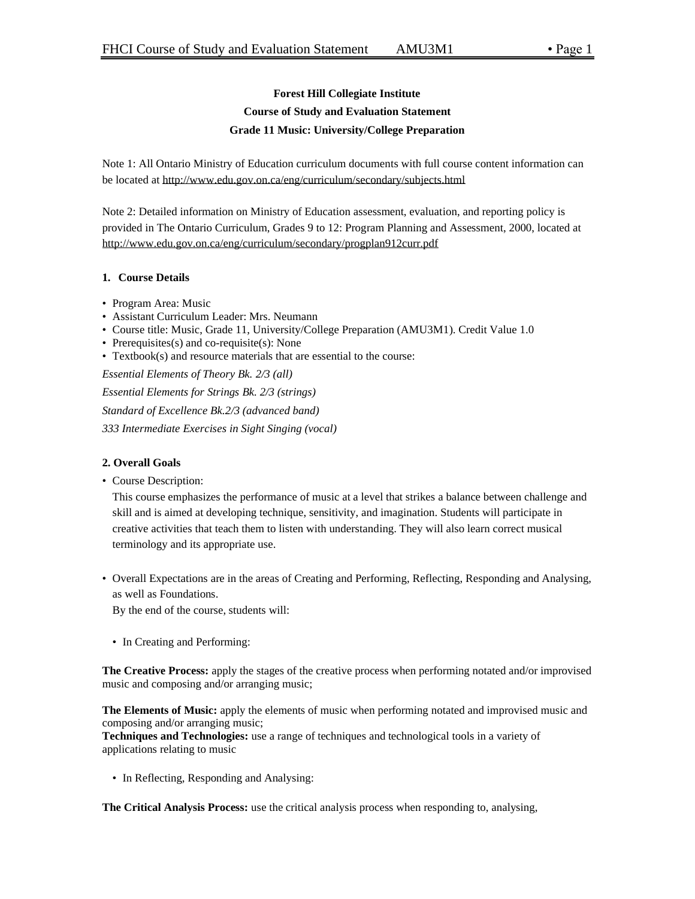# **Forest Hill Collegiate Institute Course of Study and Evaluation Statement Grade 11 Music: University/College Preparation**

Note 1: All Ontario Ministry of Education curriculum documents with full course content information can be located at http://www.edu.gov.on.ca/eng/curriculum/secondary/subjects.html

Note 2: Detailed information on Ministry of Education assessment, evaluation, and reporting policy is provided in The Ontario Curriculum, Grades 9 to 12: Program Planning and Assessment, 2000, located at http://www.edu.gov.on.ca/eng/curriculum/secondary/progplan912curr.pdf

# **1. Course Details**

- Program Area: Music
- Assistant Curriculum Leader: Mrs. Neumann
- Course title: Music, Grade 11, University/College Preparation (AMU3M1). Credit Value 1.0
- Prerequisites(s) and co-requisite(s): None
- Textbook(s) and resource materials that are essential to the course:

*Essential Elements of Theory Bk. 2/3 (all) Essential Elements for Strings Bk. 2/3 (strings) Standard of Excellence Bk.2/3 (advanced band) 333 Intermediate Exercises in Sight Singing (vocal)*

# **2. Overall Goals**

• Course Description:

This course emphasizes the performance of music at a level that strikes a balance between challenge and skill and is aimed at developing technique, sensitivity, and imagination. Students will participate in creative activities that teach them to listen with understanding. They will also learn correct musical terminology and its appropriate use.

• Overall Expectations are in the areas of Creating and Performing, Reflecting, Responding and Analysing, as well as Foundations.

By the end of the course, students will:

• In Creating and Performing:

**The Creative Process:** apply the stages of the creative process when performing notated and/or improvised music and composing and/or arranging music;

**The Elements of Music:** apply the elements of music when performing notated and improvised music and composing and/or arranging music;

**Techniques and Technologies:** use a range of techniques and technological tools in a variety of applications relating to music

• In Reflecting, Responding and Analysing:

**The Critical Analysis Process:** use the critical analysis process when responding to, analysing,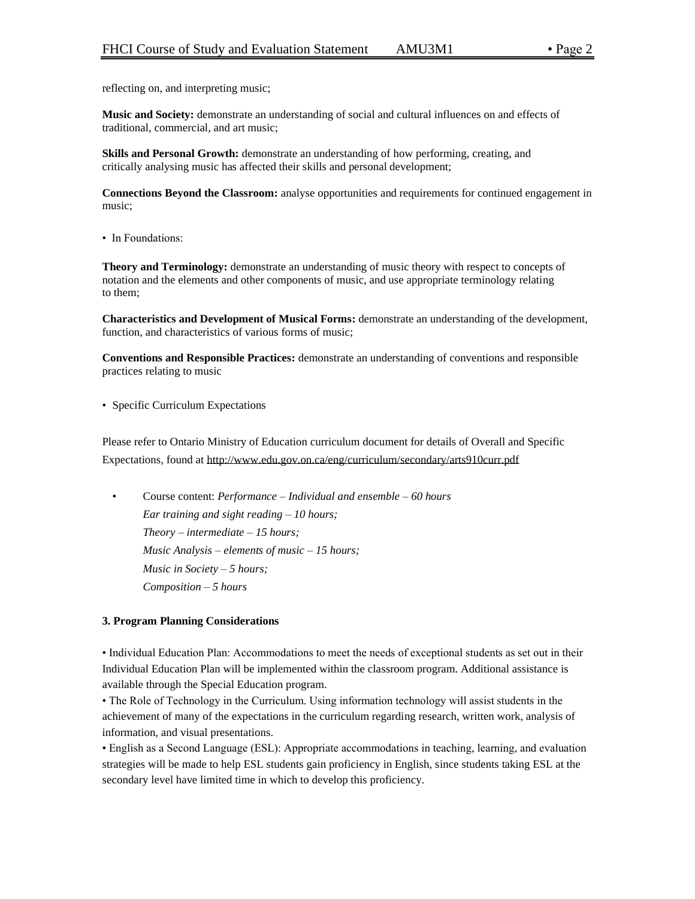reflecting on, and interpreting music;

**Music and Society:** demonstrate an understanding of social and cultural influences on and effects of traditional, commercial, and art music;

**Skills and Personal Growth:** demonstrate an understanding of how performing, creating, and critically analysing music has affected their skills and personal development;

**Connections Beyond the Classroom:** analyse opportunities and requirements for continued engagement in music;

• In Foundations:

**Theory and Terminology:** demonstrate an understanding of music theory with respect to concepts of notation and the elements and other components of music, and use appropriate terminology relating to them;

**Characteristics and Development of Musical Forms:** demonstrate an understanding of the development, function, and characteristics of various forms of music;

**Conventions and Responsible Practices:** demonstrate an understanding of conventions and responsible practices relating to music

• Specific Curriculum Expectations

Please refer to Ontario Ministry of Education curriculum document for details of Overall and Specific Expectations, found at http://www.edu.gov.on.ca/eng/curriculum/secondary/arts910curr.pdf

• Course content: *Performance – Individual and ensemble – 60 hours Ear training and sight reading – 10 hours; Theory – intermediate – 15 hours; Music Analysis – elements of music – 15 hours; Music in Society – 5 hours; Composition – 5 hours*

## **3. Program Planning Considerations**

• Individual Education Plan: Accommodations to meet the needs of exceptional students as set out in their Individual Education Plan will be implemented within the classroom program. Additional assistance is available through the Special Education program.

• The Role of Technology in the Curriculum. Using information technology will assist students in the achievement of many of the expectations in the curriculum regarding research, written work, analysis of information, and visual presentations.

• English as a Second Language (ESL): Appropriate accommodations in teaching, learning, and evaluation strategies will be made to help ESL students gain proficiency in English, since students taking ESL at the secondary level have limited time in which to develop this proficiency.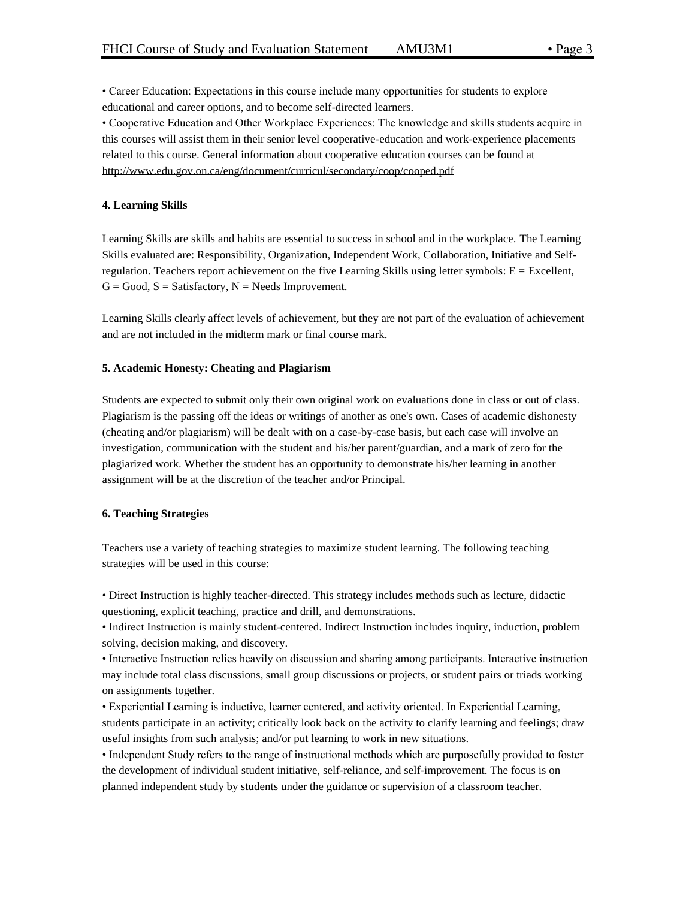• Career Education: Expectations in this course include many opportunities for students to explore educational and career options, and to become self-directed learners.

• Cooperative Education and Other Workplace Experiences: The knowledge and skills students acquire in this courses will assist them in their senior level cooperative-education and work-experience placements related to this course. General information about cooperative education courses can be found at http://www.edu.gov.on.ca/eng/document/curricul/secondary/coop/cooped.pdf

# **4. Learning Skills**

Learning Skills are skills and habits are essential to success in school and in the workplace. The Learning Skills evaluated are: Responsibility, Organization, Independent Work, Collaboration, Initiative and Selfregulation. Teachers report achievement on the five Learning Skills using letter symbols:  $E = Excellent$ ,  $G = Good, S = Satisfactory, N = Needs Improvement.$ 

Learning Skills clearly affect levels of achievement, but they are not part of the evaluation of achievement and are not included in the midterm mark or final course mark.

## **5. Academic Honesty: Cheating and Plagiarism**

Students are expected to submit only their own original work on evaluations done in class or out of class. Plagiarism is the passing off the ideas or writings of another as one's own. Cases of academic dishonesty (cheating and/or plagiarism) will be dealt with on a case-by-case basis, but each case will involve an investigation, communication with the student and his/her parent/guardian, and a mark of zero for the plagiarized work. Whether the student has an opportunity to demonstrate his/her learning in another assignment will be at the discretion of the teacher and/or Principal.

#### **6. Teaching Strategies**

Teachers use a variety of teaching strategies to maximize student learning. The following teaching strategies will be used in this course:

• Direct Instruction is highly teacher-directed. This strategy includes methods such as lecture, didactic questioning, explicit teaching, practice and drill, and demonstrations.

• Indirect Instruction is mainly student-centered. Indirect Instruction includes inquiry, induction, problem solving, decision making, and discovery.

• Interactive Instruction relies heavily on discussion and sharing among participants. Interactive instruction may include total class discussions, small group discussions or projects, or student pairs or triads working on assignments together.

• Experiential Learning is inductive, learner centered, and activity oriented. In Experiential Learning, students participate in an activity; critically look back on the activity to clarify learning and feelings; draw useful insights from such analysis; and/or put learning to work in new situations.

• Independent Study refers to the range of instructional methods which are purposefully provided to foster the development of individual student initiative, self-reliance, and self-improvement. The focus is on planned independent study by students under the guidance or supervision of a classroom teacher.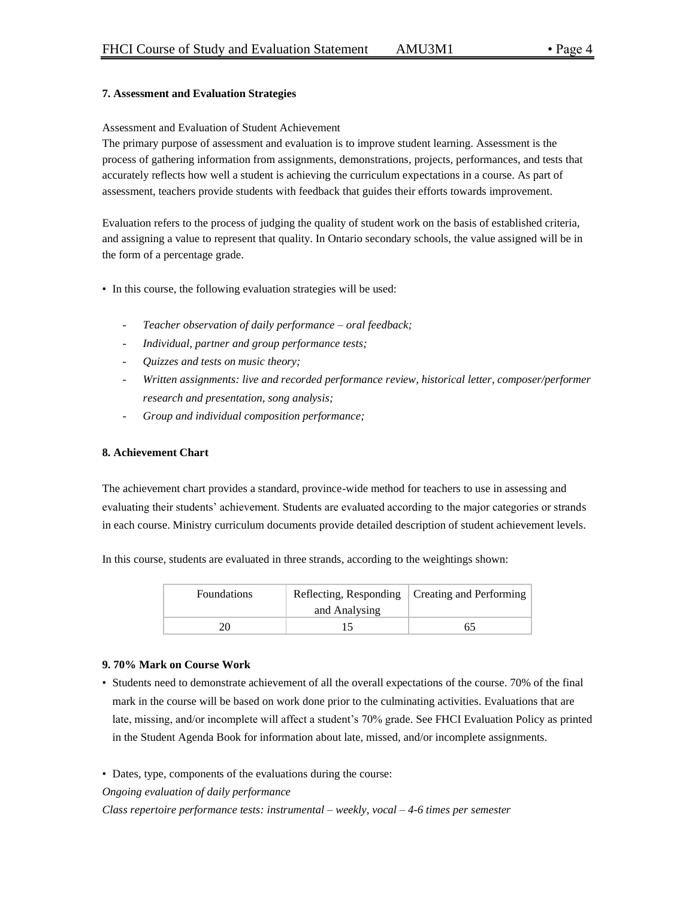# **7. Assessment and Evaluation Strategies**

## Assessment and Evaluation of Student Achievement

The primary purpose of assessment and evaluation is to improve student learning. Assessment is the process of gathering information from assignments, demonstrations, projects, performances, and tests that accurately reflects how well a student is achieving the curriculum expectations in a course. As part of assessment, teachers provide students with feedback that guides their efforts towards improvement.

Evaluation refers to the process of judging the quality of student work on the basis of established criteria, and assigning a value to represent that quality. In Ontario secondary schools, the value assigned will be in the form of a percentage grade.

- In this course, the following evaluation strategies will be used:
	- *Teacher observation of daily performance – oral feedback;*
	- *Individual, partner and group performance tests;*
	- *Quizzes and tests on music theory;*
	- *Written assignments: live and recorded performance review, historical letter, composer/performer research and presentation, song analysis;*
	- *Group and individual composition performance;*

## **8. Achievement Chart**

The achievement chart provides a standard, province-wide method for teachers to use in assessing and evaluating their students' achievement. Students are evaluated according to the major categories or strands in each course. Ministry curriculum documents provide detailed description of student achievement levels.

In this course, students are evaluated in three strands, according to the weightings shown:

| <b>Foundations</b> | and Analysing | Reflecting, Responding   Creating and Performing |
|--------------------|---------------|--------------------------------------------------|
|                    |               |                                                  |

## **9. 70% Mark on Course Work**

• Students need to demonstrate achievement of all the overall expectations of the course. 70% of the final mark in the course will be based on work done prior to the culminating activities. Evaluations that are late, missing, and/or incomplete will affect a student's 70% grade. See FHCI Evaluation Policy as printed in the Student Agenda Book for information about late, missed, and/or incomplete assignments.

• Dates, type, components of the evaluations during the course:

*Ongoing evaluation of daily performance*

*Class repertoire performance tests: instrumental – weekly, vocal – 4-6 times per semester*